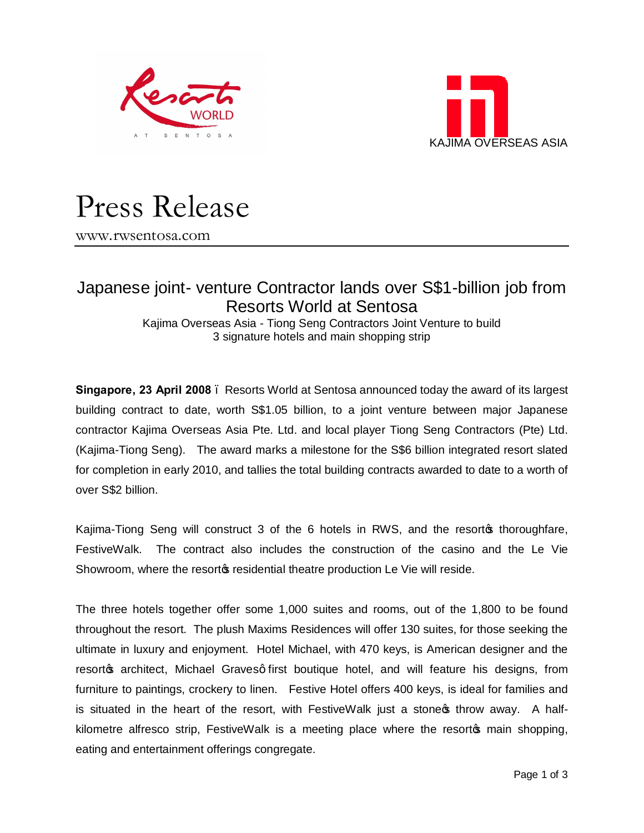



# Press Release

www.rwsentosa.com

## Japanese joint- venture Contractor lands over S\$1-billion job from Resorts World at Sentosa

Kajima Overseas Asia - Tiong Seng Contractors Joint Venture to build 3 signature hotels and main shopping strip

**Singapore, 23 April 2008** – Resorts World at Sentosa announced today the award of its largest building contract to date, worth S\$1.05 billion, to a joint venture between major Japanese contractor Kajima Overseas Asia Pte. Ltd. and local player Tiong Seng Contractors (Pte) Ltd. (Kajima-Tiong Seng). The award marks a milestone for the S\$6 billion integrated resort slated for completion in early 2010, and tallies the total building contracts awarded to date to a worth of over S\$2 billion.

Kajima-Tiong Seng will construct 3 of the 6 hotels in RWS, and the resort the thoroughfare, FestiveWalk. The contract also includes the construction of the casino and the Le Vie Showroom, where the resort to residential theatre production Le Vie will reside.

The three hotels together offer some 1,000 suites and rooms, out of the 1,800 to be found throughout the resort. The plush Maxims Residences will offer 130 suites, for those seeking the ultimate in luxury and enjoyment. Hotel Michael, with 470 keys, is American designer and the resorto architect, Michael Graves q first boutique hotel, and will feature his designs, from furniture to paintings, crockery to linen. Festive Hotel offers 400 keys, is ideal for families and is situated in the heart of the resort, with FestiveWalk just a stone  $\alpha$  throw away. A halfkilometre alfresco strip, FestiveWalk is a meeting place where the resorto main shopping, eating and entertainment offerings congregate.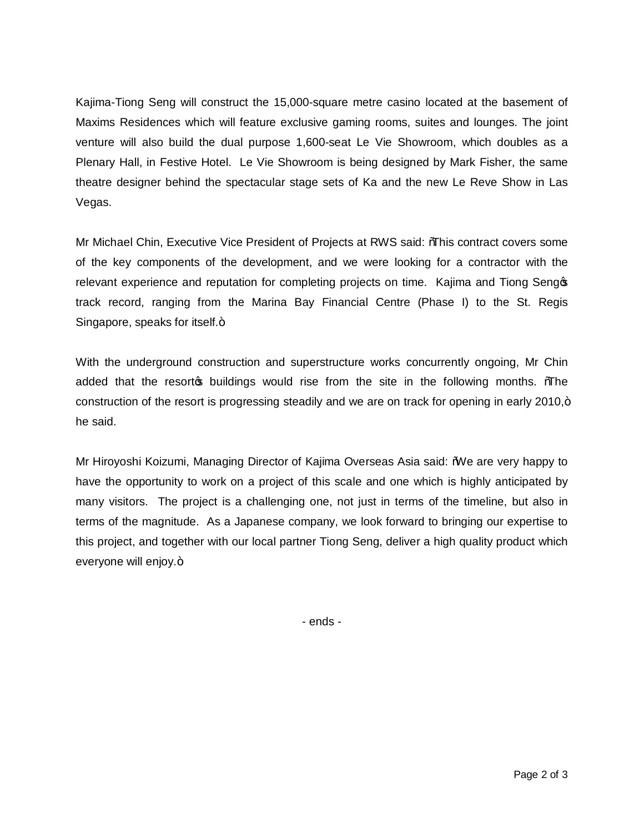Kajima-Tiong Seng will construct the 15,000-square metre casino located at the basement of Maxims Residences which will feature exclusive gaming rooms, suites and lounges. The joint venture will also build the dual purpose 1,600-seat Le Vie Showroom, which doubles as a Plenary Hall, in Festive Hotel. Le Vie Showroom is being designed by Mark Fisher, the same theatre designer behind the spectacular stage sets of Ka and the new Le Reve Show in Las Vegas.

Mr Michael Chin, Executive Vice President of Projects at RWS said: "This contract covers some of the key components of the development, and we were looking for a contractor with the relevant experience and reputation for completing projects on time. Kajima and Tiong Sengos track record, ranging from the Marina Bay Financial Centre (Phase I) to the St. Regis Singapore, speaks for itself.+

With the underground construction and superstructure works concurrently ongoing, Mr Chin added that the resort t buildings would rise from the site in the following months. The construction of the resort is progressing steadily and we are on track for opening in early 2010, $+$ he said.

Mr Hiroyoshi Koizumi, Managing Director of Kajima Overseas Asia said: "We are very happy to have the opportunity to work on a project of this scale and one which is highly anticipated by many visitors. The project is a challenging one, not just in terms of the timeline, but also in terms of the magnitude. As a Japanese company, we look forward to bringing our expertise to this project, and together with our local partner Tiong Seng, deliver a high quality product which everyone will enjoy.+

- ends -